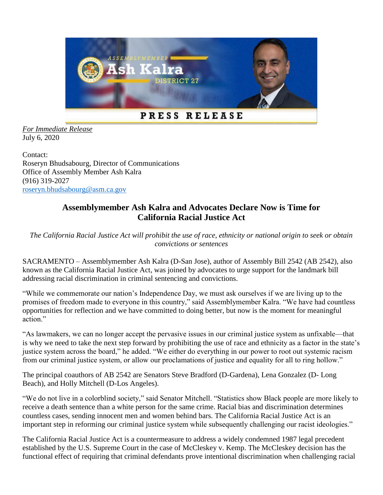

*For Immediate Release* July 6, 2020

Contact: Roseryn Bhudsabourg, Director of Communications Office of Assembly Member Ash Kalra (916) 319-2027 [roseryn.bhudsabourg@asm.ca.gov](mailto:roseryn.bhudsabourg@asm.ca.gov)

## **Assemblymember Ash Kalra and Advocates Declare Now is Time for California Racial Justice Act**

*The California Racial Justice Act will prohibit the use of race, ethnicity or national origin to seek or obtain convictions or sentences*

SACRAMENTO – Assemblymember Ash Kalra (D-San Jose), author of Assembly Bill 2542 (AB 2542), also known as the California Racial Justice Act, was joined by advocates to urge support for the landmark bill addressing racial discrimination in criminal sentencing and convictions.

"While we commemorate our nation's Independence Day, we must ask ourselves if we are living up to the promises of freedom made to everyone in this country," said Assemblymember Kalra. "We have had countless opportunities for reflection and we have committed to doing better, but now is the moment for meaningful action."

"As lawmakers, we can no longer accept the pervasive issues in our criminal justice system as unfixable—that is why we need to take the next step forward by prohibiting the use of race and ethnicity as a factor in the state's justice system across the board," he added. "We either do everything in our power to root out systemic racism from our criminal justice system, or allow our proclamations of justice and equality for all to ring hollow."

The principal coauthors of AB 2542 are Senators Steve Bradford (D-Gardena), Lena Gonzalez (D- Long Beach), and Holly Mitchell (D-Los Angeles).

"We do not live in a colorblind society," said Senator Mitchell. "Statistics show Black people are more likely to receive a death sentence than a white person for the same crime. Racial bias and discrimination determines countless cases, sending innocent men and women behind bars. The California Racial Justice Act is an important step in reforming our criminal justice system while subsequently challenging our racist ideologies."

The California Racial Justice Act is a countermeasure to address a widely condemned 1987 legal precedent established by the U.S. Supreme Court in the case of McCleskey v. Kemp. The McCleskey decision has the functional effect of requiring that criminal defendants prove intentional discrimination when challenging racial